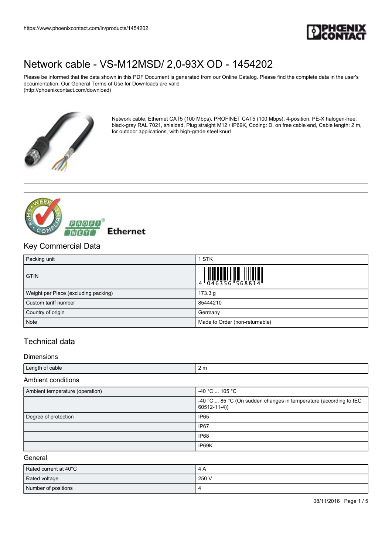

Please be informed that the data shown in this PDF Document is generated from our Online Catalog. Please find the complete data in the user's documentation. Our General Terms of Use for Downloads are valid (http://phoenixcontact.com/download)



Network cable, Ethernet CAT5 (100 Mbps), PROFINET CAT5 (100 Mbps), 4-position, PE-X halogen-free, black-gray RAL 7021, shielded, Plug straight M12 / IP69K, Coding: D, on free cable end, Cable length: 2 m, for outdoor applications, with high-grade steel knurl



### Key Commercial Data

| Packing unit                         | 1 STK                          |
|--------------------------------------|--------------------------------|
| <b>GTIN</b>                          |                                |
| Weight per Piece (excluding packing) | 173.3 g                        |
| Custom tariff number                 | 85444210                       |
| Country of origin                    | Germany                        |
| <b>Note</b>                          | Made to Order (non-returnable) |

## Technical data

#### Dimensions

| Length of cable            | 2 m |
|----------------------------|-----|
| .<br>Ambient<br>conditions |     |

| Ambient temperature (operation) | $-40$ °C $\ldots$ 105 °C                                                                 |
|---------------------------------|------------------------------------------------------------------------------------------|
|                                 | $-40$ °C  85 °C (On sudden changes in temperature (according to IEC<br>$60512 - 11 - 4)$ |
| Degree of protection            | <b>IP65</b>                                                                              |
|                                 | IP67                                                                                     |
|                                 | IP68                                                                                     |
|                                 | IP69K                                                                                    |

### General

| Rated current at 40°C | 4 A   |
|-----------------------|-------|
| Rated voltage         | 250 V |
| Number of positions   |       |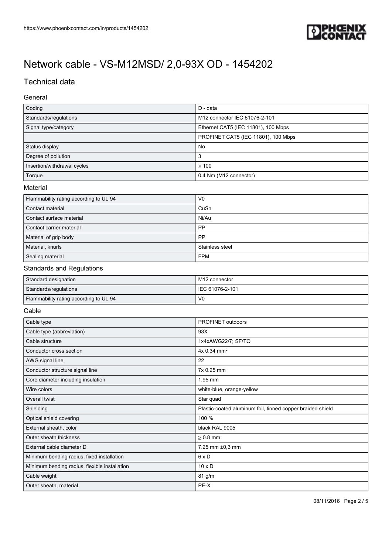

## Technical data

### General

| Coding                                 | D - data                            |
|----------------------------------------|-------------------------------------|
| Standards/regulations                  | M12 connector IEC 61076-2-101       |
| Signal type/category                   | Ethernet CAT5 (IEC 11801), 100 Mbps |
|                                        | PROFINET CAT5 (IEC 11801), 100 Mbps |
| Status display                         | No                                  |
| Degree of pollution                    | 3                                   |
| Insertion/withdrawal cycles            | $\geq 100$                          |
| Torque                                 | 0.4 Nm (M12 connector)              |
| Material                               |                                     |
| Flammability rating according to UL 94 | V <sub>0</sub>                      |

| Contact material           | CuSn            |
|----------------------------|-----------------|
| Contact surface material   | Ni/Au           |
| l Contact carrier material | <b>PP</b>       |
| Material of grip body      | <b>PP</b>       |
| Material, knurls           | Stainless steel |
| Sealing material           | <b>FPM</b>      |

### Standards and Regulations

| Standard designation                   | l M12 connector   |
|----------------------------------------|-------------------|
| Standards/regulations                  | I IEC 61076-2-101 |
| Flammability rating according to UL 94 | VC                |

### Cable

| Cable type                                    | PROFINET outdoors                                          |
|-----------------------------------------------|------------------------------------------------------------|
| Cable type (abbreviation)                     | 93X                                                        |
| Cable structure                               | 1x4xAWG22/7; SF/TQ                                         |
| Conductor cross section                       | 4x 0.34 mm <sup>2</sup>                                    |
| AWG signal line                               | 22                                                         |
| Conductor structure signal line               | 7x 0.25 mm                                                 |
| Core diameter including insulation            | 1.95 mm                                                    |
| Wire colors                                   | white-blue, orange-yellow                                  |
| Overall twist                                 | Star quad                                                  |
| Shielding                                     | Plastic-coated aluminum foil, tinned copper braided shield |
| Optical shield covering                       | 100 %                                                      |
| External sheath, color                        | black RAL 9005                                             |
| Outer sheath thickness                        | $> 0.8$ mm                                                 |
| External cable diameter D                     | 7.25 mm ±0,3 mm                                            |
| Minimum bending radius, fixed installation    | $6 \times D$                                               |
| Minimum bending radius, flexible installation | $10 \times D$                                              |
| Cable weight                                  | 81 g/m                                                     |
| Outer sheath, material                        | PE-X                                                       |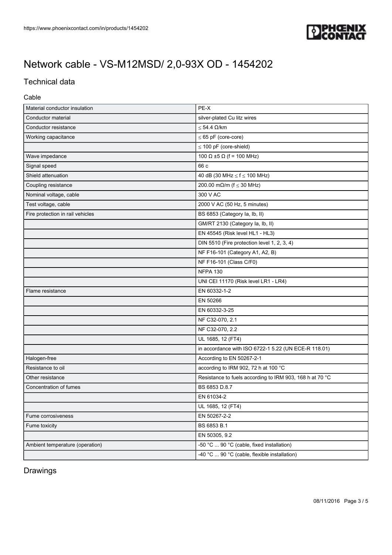

## Technical data

### Cable

| Material conductor insulation    | PE-X                                                     |
|----------------------------------|----------------------------------------------------------|
| Conductor material               | silver-plated Cu litz wires                              |
| Conductor resistance             | $\leq$ 54.4 $\Omega$ /km                                 |
| Working capacitance              | $\leq 65$ pF (core-core)                                 |
|                                  | $\leq$ 100 pF (core-shield)                              |
| Wave impedance                   | 100 Ω ±5 Ω (f = 100 MHz)                                 |
| Signal speed                     | 66 c                                                     |
| Shield attenuation               | 40 dB (30 MHz $\le$ f $\le$ 100 MHz)                     |
| Coupling resistance              | 200.00 mΩ/m ( $f \le 30$ MHz)                            |
| Nominal voltage, cable           | 300 V AC                                                 |
| Test voltage, cable              | 2000 V AC (50 Hz, 5 minutes)                             |
| Fire protection in rail vehicles | BS 6853 (Category la, lb, ll)                            |
|                                  | GM/RT 2130 (Category la, lb, ll)                         |
|                                  | EN 45545 (Risk level HL1 - HL3)                          |
|                                  | DIN 5510 (Fire protection level 1, 2, 3, 4)              |
|                                  | NF F16-101 (Category A1, A2, B)                          |
|                                  | NF F16-101 (Class C/F0)                                  |
|                                  | <b>NFPA 130</b>                                          |
|                                  | UNI CEI 11170 (Risk level LR1 - LR4)                     |
| Flame resistance                 | EN 60332-1-2                                             |
|                                  | EN 50266                                                 |
|                                  | EN 60332-3-25                                            |
|                                  | NF C32-070, 2.1                                          |
|                                  | NF C32-070, 2.2                                          |
|                                  | UL 1685, 12 (FT4)                                        |
|                                  | in accordance with ISO 6722-1 5.22 (UN ECE-R 118.01)     |
| Halogen-free                     | According to EN 50267-2-1                                |
| Resistance to oil                | according to IRM 902, 72 h at 100 °C                     |
| Other resistance                 | Resistance to fuels according to IRM 903, 168 h at 70 °C |
| Concentration of fumes           | BS 6853 D.8.7                                            |
|                                  | EN 61034-2                                               |
|                                  | UL 1685, 12 (FT4)                                        |
| Fume corrosiveness               | EN 50267-2-2                                             |
| Fume toxicity                    | BS 6853 B.1                                              |
|                                  | EN 50305, 9.2                                            |
| Ambient temperature (operation)  | -50 °C  90 °C (cable, fixed installation)                |
|                                  | -40 °C  90 °C (cable, flexible installation)             |

## Drawings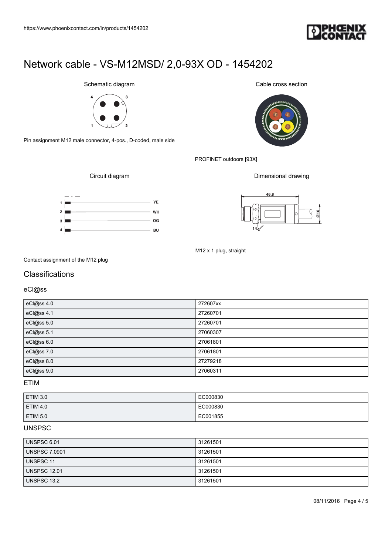

Schematic diagram



Pin assignment M12 male connector, 4-pos., D-coded, male side

Cable cross section



PROFINET outdoors [93X]

Dimensional drawing



Circuit diagram



M12 x 1 plug, straight

Contact assignment of the M12 plug

## Classifications

eCl@ss

| eCl@ss 4.0 | 272607xx |
|------------|----------|
| eCl@ss 4.1 | 27260701 |
| eCl@ss 5.0 | 27260701 |
| eCl@ss 5.1 | 27060307 |
| eCl@ss 6.0 | 27061801 |
| eCl@ss 7.0 | 27061801 |
| eCl@ss 8.0 | 27279218 |
| eCl@ss 9.0 | 27060311 |

ETIM

| ETIM 3.0        | EC000830 |
|-----------------|----------|
| <b>ETIM 4.0</b> | EC000830 |
| ETIM 5.0        | EC001855 |

### UNSPSC

| UNSPSC 6.01          | 31261501 |
|----------------------|----------|
| <b>UNSPSC 7.0901</b> | 31261501 |
| UNSPSC 11            | 31261501 |
| UNSPSC 12.01         | 31261501 |
| UNSPSC 13.2          | 31261501 |